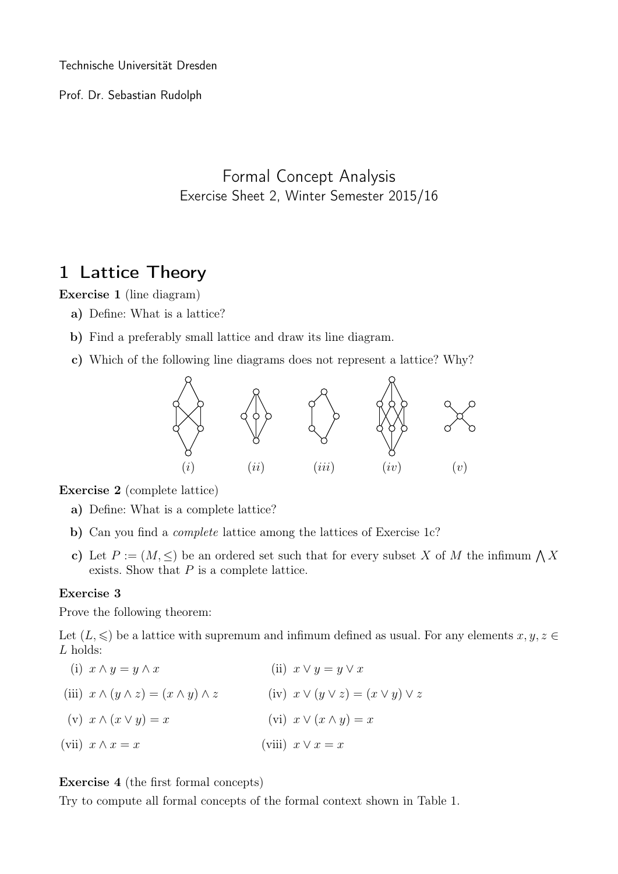Technische Universität Dresden

Prof. Dr. Sebastian Rudolph

Formal Concept Analysis Exercise Sheet 2, Winter Semester 2015/16

## 1 Lattice Theory

Exercise 1 (line diagram)

- a) Define: What is a lattice?
- b) Find a preferably small lattice and draw its line diagram.
- c) Which of the following line diagrams does not represent a lattice? Why?



Exercise 2 (complete lattice)

- a) Define: What is a complete lattice?
- b) Can you find a *complete* lattice among the lattices of Exercise 1c?
- c) Let  $P := (M, \leq)$  be an ordered set such that for every subset X of M the infimum  $\bigwedge X$ exists. Show that  $P$  is a complete lattice.

## Exercise 3

Prove the following theorem:

Let  $(L, \leqslant)$  be a lattice with supremum and infimum defined as usual. For any elements  $x, y, z \in$ L holds:

(i)  $x \wedge y = y \wedge x$ (iii)  $x \wedge (y \wedge z) = (x \wedge y) \wedge z$  (iv)  $x \vee (y \vee z) = (x \vee y) \vee z$ (v)  $x \wedge (x \vee y) = x$ (vii)  $x \wedge x = x$ (ii)  $x \vee y = y \vee x$ (vi)  $x \vee (x \wedge y) = x$ (viii)  $x \vee x = x$ 

## Exercise 4 (the first formal concepts)

Try to compute all formal concepts of the formal context shown in Table 1.